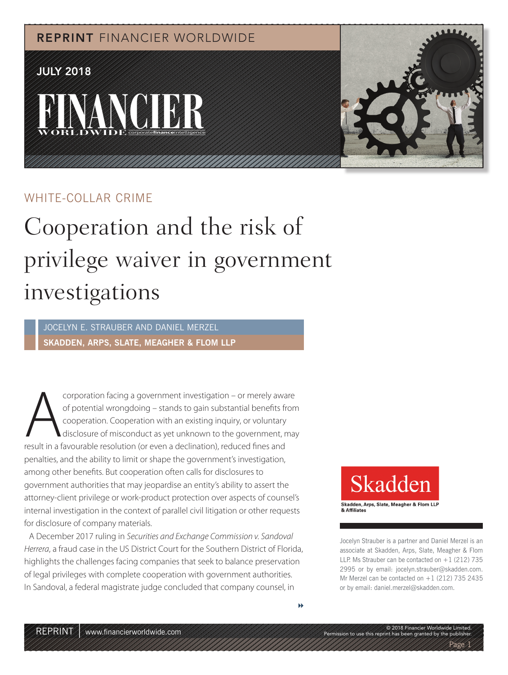REPRINT FINANCIER WORLDWIDE

## JULY 2018





### WHITE-COLLAR CRIME

# Cooperation and the risk of privilege waiver in government investigations

JOCELYN E. STRAUBER AND DANIEL MERZEL **SKADDEN, ARPS, SLATE, MEAGHER & FLOM LLP**

Corporation facing a government investigation – or merely aware<br>
of potential wrongdoing – stands to gain substantial benefits from<br>
cooperation. Cooperation with an existing inquiry, or voluntary<br>
result in a favourable r of potential wrongdoing - stands to gain substantial benefits from cooperation. Cooperation with an existing inquiry, or voluntary disclosure of misconduct as yet unknown to the government, may penalties, and the ability to limit or shape the government's investigation, among other benefits. But cooperation often calls for disclosures to government authorities that may jeopardise an entity's ability to assert the attorney-client privilege or work-product protection over aspects of counsel's internal investigation in the context of parallel civil litigation or other requests for disclosure of company materials.

A December 2017 ruling in Securities and Exchange Commission v. Sandoval Herrera, a fraud case in the US District Court for the Southern District of Florida, highlights the challenges facing companies that seek to balance preservation of legal privileges with complete cooperation with government authorities. In Sandoval, a federal magistrate judge concluded that company counsel, in



Skadden, Arps, Slate, Meagher & Flom LLP & Affiliates

Jocelyn Strauber is a partner and Daniel Merzel is an associate at Skadden, Arps, Slate, Meagher & Flom LLP. Ms Strauber can be contacted on  $+1$  (212) 735 2995 or by email: jocelyn.strauber@skadden.com. Mr Merzel can be contacted on  $+1$  (212) 735 2435 or by email: daniel.merzel@skadden.com.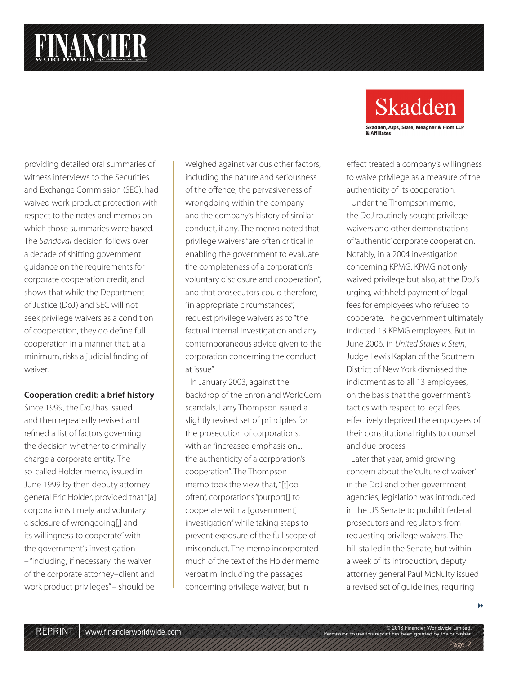# **FINANCIER**

providing detailed oral summaries of witness interviews to the Securities and Exchange Commission (SEC), had waived work-product protection with respect to the notes and memos on which those summaries were based. The Sandoval decision follows over a decade of shifting government guidance on the requirements for corporate cooperation credit, and shows that while the Department of Justice (DoJ) and SEC will not seek privilege waivers as a condition of cooperation, they do define full cooperation in a manner that, at a minimum, risks a judicial finding of waiver.

### **Cooperation credit: a brief history**

Since 1999, the DoJ has issued and then repeatedly revised and refined a list of factors governing the decision whether to criminally charge a corporate entity. The so-called Holder memo, issued in June 1999 by then deputy attorney general Eric Holder, provided that "[a] corporation's timely and voluntary disclosure of wrongdoing[,] and its willingness to cooperate" with the government's investigation – "including, if necessary, the waiver of the corporate attorney–client and work product privileges" – should be

weighed against various other factors, including the nature and seriousness of the offence, the pervasiveness of wrongdoing within the company and the company's history of similar conduct, if any. The memo noted that privilege waivers "are often critical in enabling the government to evaluate the completeness of a corporation's voluntary disclosure and cooperation", and that prosecutors could therefore, "in appropriate circumstances", request privilege waivers as to "the factual internal investigation and any contemporaneous advice given to the corporation concerning the conduct at issue".

In January 2003, against the backdrop of the Enron and WorldCom scandals, Larry Thompson issued a slightly revised set of principles for the prosecution of corporations, with an "increased emphasis on... the authenticity of a corporation's cooperation". The Thompson memo took the view that, "[t]oo often", corporations "purport[] to cooperate with a [government] investigation" while taking steps to prevent exposure of the full scope of misconduct. The memo incorporated much of the text of the Holder memo verbatim, including the passages concerning privilege waiver, but in



effect treated a company's willingness to waive privilege as a measure of the authenticity of its cooperation.

Under the Thompson memo, the DoJ routinely sought privilege waivers and other demonstrations of 'authentic' corporate cooperation. Notably, in a 2004 investigation concerning KPMG, KPMG not only waived privilege but also, at the DoJ's urging, withheld payment of legal fees for employees who refused to cooperate. The government ultimately indicted 13 KPMG employees. But in June 2006, in United States v. Stein, Judge Lewis Kaplan of the Southern District of New York dismissed the indictment as to all 13 employees, on the basis that the government's tactics with respect to legal fees effectively deprived the employees of their constitutional rights to counsel and due process.

Later that year, amid growing concern about the 'culture of waiver' in the DoJ and other government agencies, legislation was introduced in the US Senate to prohibit federal prosecutors and regulators from requesting privilege waivers. The bill stalled in the Senate, but within a week of its introduction, deputy attorney general Paul McNulty issued a revised set of guidelines, requiring

Page 2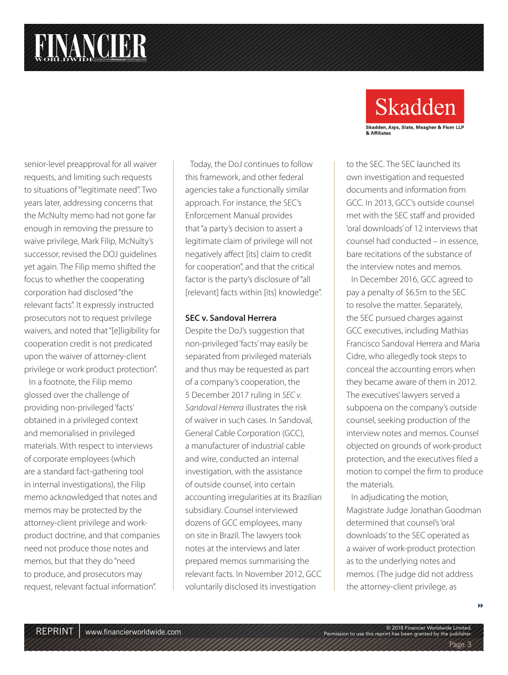senior-level preapproval for all waiver requests, and limiting such requests to situations of "legitimate need". Two years later, addressing concerns that the McNulty memo had not gone far enough in removing the pressure to waive privilege, Mark Filip, McNulty's successor, revised the DOJ guidelines yet again. The Filip memo shifted the focus to whether the cooperating corporation had disclosed "the relevant facts". It expressly instructed prosecutors not to request privilege waivers, and noted that "[e]ligibility for cooperation credit is not predicated upon the waiver of attorney-client privilege or work product protection".

In a footnote, the Filip memo glossed over the challenge of providing non-privileged 'facts' obtained in a privileged context and memorialised in privileged materials. With respect to interviews of corporate employees (which are a standard fact-gathering tool in internal investigations), the Filip memo acknowledged that notes and memos may be protected by the attorney-client privilege and workproduct doctrine, and that companies need not produce those notes and memos, but that they do "need to produce, and prosecutors may request, relevant factual information".

Today, the DoJ continues to follow this framework, and other federal agencies take a functionally similar approach. For instance, the SEC's Enforcement Manual provides that "a party's decision to assert a legitimate claim of privilege will not negatively affect [its] claim to credit for cooperation", and that the critical factor is the party's disclosure of "all [relevant] facts within [its] knowledge".

#### **SEC v. Sandoval Herrera**

Despite the DoJ's suggestion that non-privileged 'facts' may easily be separated from privileged materials and thus may be requested as part of a company's cooperation, the 5 December 2017 ruling in SEC v. Sandoval Herrera illustrates the risk of waiver in such cases. In Sandoval, General Cable Corporation (GCC), a manufacturer of industrial cable and wire, conducted an internal investigation, with the assistance of outside counsel, into certain accounting irregularities at its Brazilian subsidiary. Counsel interviewed dozens of GCC employees, many on site in Brazil. The lawyers took notes at the interviews and later prepared memos summarising the relevant facts. In November 2012, GCC voluntarily disclosed its investigation



to the SEC. The SEC launched its own investigation and requested documents and information from GCC. In 2013, GCC's outside counsel met with the SEC staff and provided 'oral downloads' of 12 interviews that counsel had conducted – in essence, bare recitations of the substance of the interview notes and memos.

In December 2016, GCC agreed to pay a penalty of \$6.5m to the SEC to resolve the matter. Separately, the SEC pursued charges against GCC executives, including Mathias Francisco Sandoval Herrera and Maria Cidre, who allegedly took steps to conceal the accounting errors when they became aware of them in 2012. The executives' lawyers served a subpoena on the company's outside counsel, seeking production of the interview notes and memos. Counsel objected on grounds of work-product protection, and the executives filed a motion to compel the firm to produce the materials.

In adjudicating the motion, Magistrate Judge Jonathan Goodman determined that counsel's 'oral downloads' to the SEC operated as a waiver of work-product protection as to the underlying notes and memos. (The judge did not address the attorney-client privilege, as

Page 3